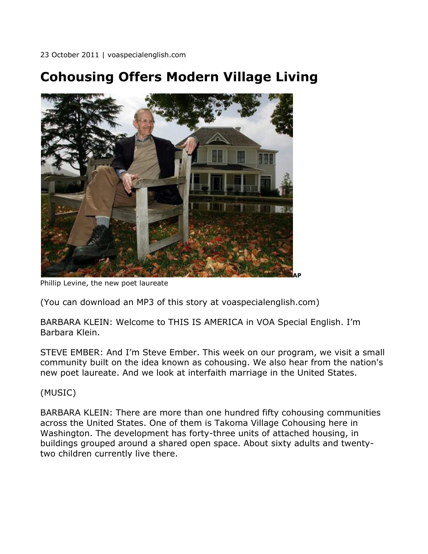## **Cohousing Offers Modern Village Living**



Phillip Levine, the new poet laureate

(You can download an MP3 of this story at voaspecialenglish.com)

BARBARA KLEIN: Welcome to THIS IS AMERICA in VOA Special English. I'm Barbara Klein.

STEVE EMBER: And I'm Steve Ember. This week on our program, we visit a small community built on the idea known as cohousing. We also hear from the nation's new poet laureate. And we look at interfaith marriage in the United States.

(MUSIC)

BARBARA KLEIN: There are more than one hundred fifty cohousing communities across the United States. One of them is Takoma Village Cohousing here in Washington. The development has forty-three units of attached housing, in buildings grouped around a shared open space. About sixty adults and twentytwo children currently live there.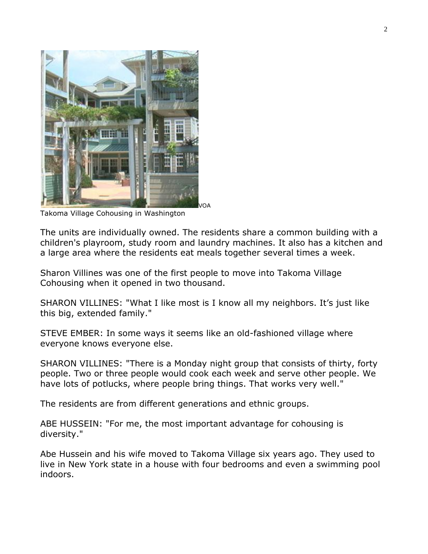

Takoma Village Cohousing in Washington

The units are individually owned. The residents share a common building with a children's playroom, study room and laundry machines. It also has a kitchen and a large area where the residents eat meals together several times a week.

Sharon Villines was one of the first people to move into Takoma Village Cohousing when it opened in two thousand.

SHARON VILLINES: "What I like most is I know all my neighbors. It's just like this big, extended family."

STEVE EMBER: In some ways it seems like an old-fashioned village where everyone knows everyone else.

SHARON VILLINES: "There is a Monday night group that consists of thirty, forty people. Two or three people would cook each week and serve other people. We have lots of potlucks, where people bring things. That works very well."

The residents are from different generations and ethnic groups.

ABE HUSSEIN: "For me, the most important advantage for cohousing is diversity."

Abe Hussein and his wife moved to Takoma Village six years ago. They used to live in New York state in a house with four bedrooms and even a swimming pool indoors.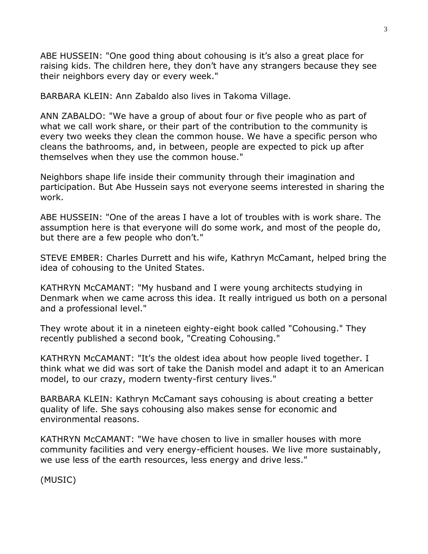ABE HUSSEIN: "One good thing about cohousing is it's also a great place for raising kids. The children here, they don't have any strangers because they see their neighbors every day or every week."

BARBARA KLEIN: Ann Zabaldo also lives in Takoma Village.

ANN ZABALDO: "We have a group of about four or five people who as part of what we call work share, or their part of the contribution to the community is every two weeks they clean the common house. We have a specific person who cleans the bathrooms, and, in between, people are expected to pick up after themselves when they use the common house."

Neighbors shape life inside their community through their imagination and participation. But Abe Hussein says not everyone seems interested in sharing the work.

ABE HUSSEIN: "One of the areas I have a lot of troubles with is work share. The assumption here is that everyone will do some work, and most of the people do, but there are a few people who don't."

STEVE EMBER: Charles Durrett and his wife, Kathryn McCamant, helped bring the idea of cohousing to the United States.

KATHRYN McCAMANT: "My husband and I were young architects studying in Denmark when we came across this idea. It really intrigued us both on a personal and a professional level."

They wrote about it in a nineteen eighty-eight book called "Cohousing." They recently published a second book, "Creating Cohousing."

KATHRYN McCAMANT: "It's the oldest idea about how people lived together. I think what we did was sort of take the Danish model and adapt it to an American model, to our crazy, modern twenty-first century lives."

BARBARA KLEIN: Kathryn McCamant says cohousing is about creating a better quality of life. She says cohousing also makes sense for economic and environmental reasons.

KATHRYN McCAMANT: "We have chosen to live in smaller houses with more community facilities and very energy-efficient houses. We live more sustainably, we use less of the earth resources, less energy and drive less."

(MUSIC)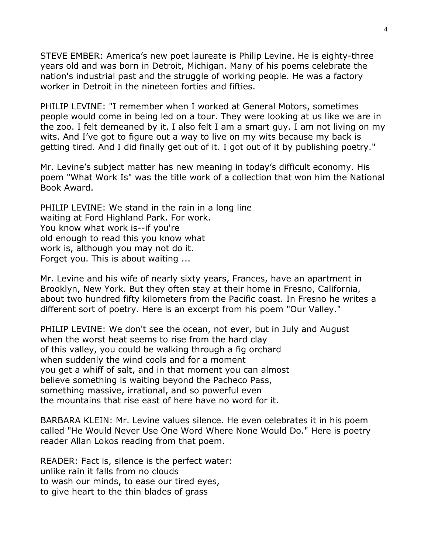STEVE EMBER: America's new poet laureate is Philip Levine. He is eighty-three years old and was born in Detroit, Michigan. Many of his poems celebrate the nation's industrial past and the struggle of working people. He was a factory worker in Detroit in the nineteen forties and fifties.

PHILIP LEVINE: "I remember when I worked at General Motors, sometimes people would come in being led on a tour. They were looking at us like we are in the zoo. I felt demeaned by it. I also felt I am a smart guy. I am not living on my wits. And I've got to figure out a way to live on my wits because my back is getting tired. And I did finally get out of it. I got out of it by publishing poetry."

Mr. Levine's subject matter has new meaning in today's difficult economy. His poem "What Work Is" was the title work of a collection that won him the National Book Award.

PHILIP LEVINE: We stand in the rain in a long line waiting at Ford Highland Park. For work. You know what work is--if you're old enough to read this you know what work is, although you may not do it. Forget you. This is about waiting ...

Mr. Levine and his wife of nearly sixty years, Frances, have an apartment in Brooklyn, New York. But they often stay at their home in Fresno, California, about two hundred fifty kilometers from the Pacific coast. In Fresno he writes a different sort of poetry. Here is an excerpt from his poem "Our Valley."

PHILIP LEVINE: We don't see the ocean, not ever, but in July and August when the worst heat seems to rise from the hard clay of this valley, you could be walking through a fig orchard when suddenly the wind cools and for a moment you get a whiff of salt, and in that moment you can almost believe something is waiting beyond the Pacheco Pass, something massive, irrational, and so powerful even the mountains that rise east of here have no word for it.

BARBARA KLEIN: Mr. Levine values silence. He even celebrates it in his poem called "He Would Never Use One Word Where None Would Do." Here is poetry reader Allan Lokos reading from that poem.

READER: Fact is, silence is the perfect water: unlike rain it falls from no clouds to wash our minds, to ease our tired eyes, to give heart to the thin blades of grass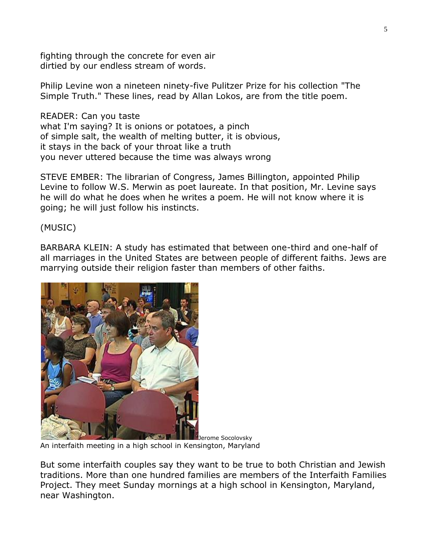fighting through the concrete for even air dirtied by our endless stream of words.

Philip Levine won a nineteen ninety-five Pulitzer Prize for his collection "The Simple Truth." These lines, read by Allan Lokos, are from the title poem.

READER: Can you taste what I'm saying? It is onions or potatoes, a pinch of simple salt, the wealth of melting butter, it is obvious, it stays in the back of your throat like a truth you never uttered because the time was always wrong

STEVE EMBER: The librarian of Congress, James Billington, appointed Philip Levine to follow W.S. Merwin as poet laureate. In that position, Mr. Levine says he will do what he does when he writes a poem. He will not know where it is going; he will just follow his instincts.

(MUSIC)

BARBARA KLEIN: A study has estimated that between one-third and one-half of all marriages in the United States are between people of different faiths. Jews are marrying outside their religion faster than members of other faiths.



Jerome Socolovsky An interfaith meeting in a high school in Kensington, Maryland

But some interfaith couples say they want to be true to both Christian and Jewish traditions. More than one hundred families are members of the Interfaith Families Project. They meet Sunday mornings at a high school in Kensington, Maryland, near Washington.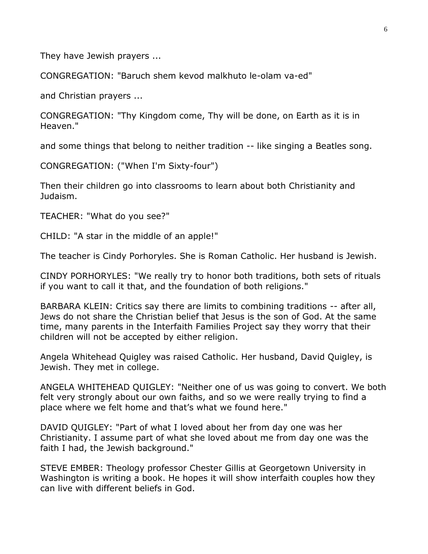They have Jewish prayers ...

CONGREGATION: "Baruch shem kevod malkhuto le-olam va-ed"

and Christian prayers ...

CONGREGATION: "Thy Kingdom come, Thy will be done, on Earth as it is in Heaven."

and some things that belong to neither tradition -- like singing a Beatles song.

CONGREGATION: ("When I'm Sixty-four")

Then their children go into classrooms to learn about both Christianity and Judaism.

TEACHER: "What do you see?"

CHILD: "A star in the middle of an apple!"

The teacher is Cindy Porhoryles. She is Roman Catholic. Her husband is Jewish.

CINDY PORHORYLES: "We really try to honor both traditions, both sets of rituals if you want to call it that, and the foundation of both religions."

BARBARA KLEIN: Critics say there are limits to combining traditions -- after all, Jews do not share the Christian belief that Jesus is the son of God. At the same time, many parents in the Interfaith Families Project say they worry that their children will not be accepted by either religion.

Angela Whitehead Quigley was raised Catholic. Her husband, David Quigley, is Jewish. They met in college.

ANGELA WHITEHEAD QUIGLEY: "Neither one of us was going to convert. We both felt very strongly about our own faiths, and so we were really trying to find a place where we felt home and that's what we found here."

DAVID QUIGLEY: "Part of what I loved about her from day one was her Christianity. I assume part of what she loved about me from day one was the faith I had, the Jewish background."

STEVE EMBER: Theology professor Chester Gillis at Georgetown University in Washington is writing a book. He hopes it will show interfaith couples how they can live with different beliefs in God.